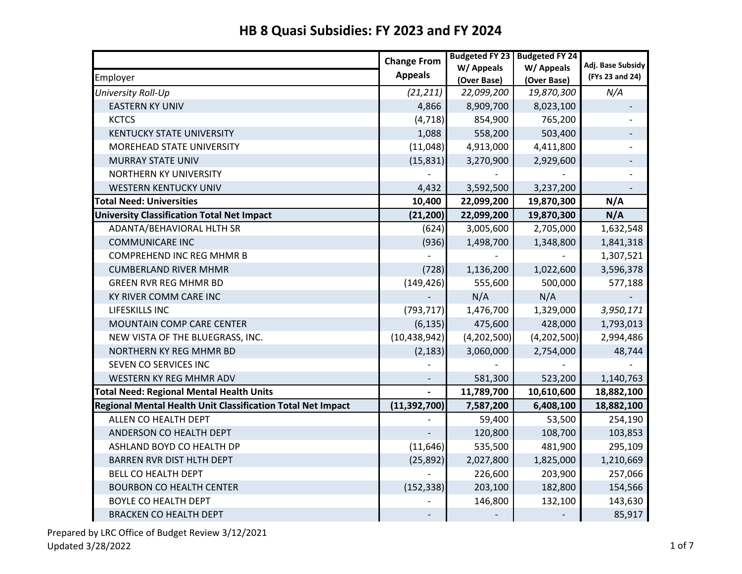|                                                             | <b>Change From</b> | <b>Budgeted FY 23</b> | <b>Budgeted FY 24</b> |                                      |
|-------------------------------------------------------------|--------------------|-----------------------|-----------------------|--------------------------------------|
|                                                             | <b>Appeals</b>     | W/ Appeals            | W/ Appeals            | Adj. Base Subsidy<br>(FYs 23 and 24) |
| Employer                                                    |                    | (Over Base)           | (Over Base)           |                                      |
| University Roll-Up                                          | (21, 211)          | 22,099,200            | 19,870,300            | N/A                                  |
| <b>EASTERN KY UNIV</b>                                      | 4,866              | 8,909,700             | 8,023,100             |                                      |
| <b>KCTCS</b>                                                | (4, 718)           | 854,900               | 765,200               |                                      |
| <b>KENTUCKY STATE UNIVERSITY</b>                            | 1,088              | 558,200               | 503,400               |                                      |
| MOREHEAD STATE UNIVERSITY                                   | (11,048)           | 4,913,000             | 4,411,800             |                                      |
| <b>MURRAY STATE UNIV</b>                                    | (15, 831)          | 3,270,900             | 2,929,600             |                                      |
| NORTHERN KY UNIVERSITY                                      |                    |                       |                       |                                      |
| <b>WESTERN KENTUCKY UNIV</b>                                | 4,432              | 3,592,500             | 3,237,200             |                                      |
| <b>Total Need: Universities</b>                             | 10,400             | 22,099,200            | 19,870,300            | N/A                                  |
| <b>University Classification Total Net Impact</b>           | (21, 200)          | 22,099,200            | 19,870,300            | N/A                                  |
| ADANTA/BEHAVIORAL HLTH SR                                   | (624)              | 3,005,600             | 2,705,000             | 1,632,548                            |
| <b>COMMUNICARE INC</b>                                      | (936)              | 1,498,700             | 1,348,800             | 1,841,318                            |
| <b>COMPREHEND INC REG MHMR B</b>                            |                    |                       |                       | 1,307,521                            |
| <b>CUMBERLAND RIVER MHMR</b>                                | (728)              | 1,136,200             | 1,022,600             | 3,596,378                            |
| <b>GREEN RVR REG MHMR BD</b>                                | (149, 426)         | 555,600               | 500,000               | 577,188                              |
| KY RIVER COMM CARE INC                                      |                    | N/A                   | N/A                   |                                      |
| LIFESKILLS INC                                              | (793, 717)         | 1,476,700             | 1,329,000             | 3,950,171                            |
| MOUNTAIN COMP CARE CENTER                                   | (6, 135)           | 475,600               | 428,000               | 1,793,013                            |
| NEW VISTA OF THE BLUEGRASS, INC.                            | (10, 438, 942)     | (4,202,500)           | (4, 202, 500)         | 2,994,486                            |
| NORTHERN KY REG MHMR BD                                     | (2, 183)           | 3,060,000             | 2,754,000             | 48,744                               |
| SEVEN CO SERVICES INC                                       |                    |                       |                       |                                      |
| WESTERN KY REG MHMR ADV                                     |                    | 581,300               | 523,200               | 1,140,763                            |
| <b>Total Need: Regional Mental Health Units</b>             |                    | 11,789,700            | 10,610,600            | 18,882,100                           |
| Regional Mental Health Unit Classification Total Net Impact | (11, 392, 700)     | 7,587,200             | 6,408,100             | 18,882,100                           |
| ALLEN CO HEALTH DEPT                                        |                    | 59,400                | 53,500                | 254,190                              |
| ANDERSON CO HEALTH DEPT                                     |                    | 120,800               | 108,700               | 103,853                              |
| ASHLAND BOYD CO HEALTH DP                                   | (11, 646)          | 535,500               | 481,900               | 295,109                              |
| <b>BARREN RVR DIST HLTH DEPT</b>                            | (25, 892)          | 2,027,800             | 1,825,000             | 1,210,669                            |
| <b>BELL CO HEALTH DEPT</b>                                  |                    | 226,600               | 203,900               | 257,066                              |
| <b>BOURBON CO HEALTH CENTER</b>                             | (152, 338)         | 203,100               | 182,800               | 154,566                              |
| <b>BOYLE CO HEALTH DEPT</b>                                 |                    | 146,800               | 132,100               | 143,630                              |
| <b>BRACKEN CO HEALTH DEPT</b>                               |                    |                       |                       | 85,917                               |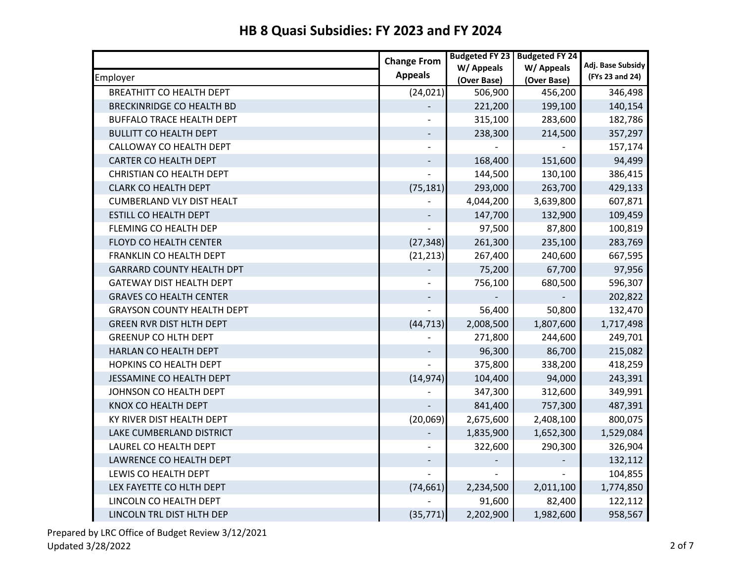|                                   | <b>Change From</b> | <b>Budgeted FY 23</b> | <b>Budgeted FY 24</b> |                                      |
|-----------------------------------|--------------------|-----------------------|-----------------------|--------------------------------------|
|                                   | <b>Appeals</b>     | W/ Appeals            | W/ Appeals            | Adj. Base Subsidy<br>(FYs 23 and 24) |
| Employer                          |                    | (Over Base)           | (Over Base)           |                                      |
| <b>BREATHITT CO HEALTH DEPT</b>   | (24, 021)          | 506,900               | 456,200               | 346,498                              |
| <b>BRECKINRIDGE CO HEALTH BD</b>  |                    | 221,200               | 199,100               | 140,154                              |
| <b>BUFFALO TRACE HEALTH DEPT</b>  |                    | 315,100               | 283,600               | 182,786                              |
| <b>BULLITT CO HEALTH DEPT</b>     |                    | 238,300               | 214,500               | 357,297                              |
| CALLOWAY CO HEALTH DEPT           |                    |                       |                       | 157,174                              |
| CARTER CO HEALTH DEPT             |                    | 168,400               | 151,600               | 94,499                               |
| <b>CHRISTIAN CO HEALTH DEPT</b>   |                    | 144,500               | 130,100               | 386,415                              |
| <b>CLARK CO HEALTH DEPT</b>       | (75, 181)          | 293,000               | 263,700               | 429,133                              |
| <b>CUMBERLAND VLY DIST HEALT</b>  |                    | 4,044,200             | 3,639,800             | 607,871                              |
| ESTILL CO HEALTH DEPT             |                    | 147,700               | 132,900               | 109,459                              |
| FLEMING CO HEALTH DEP             |                    | 97,500                | 87,800                | 100,819                              |
| FLOYD CO HEALTH CENTER            | (27, 348)          | 261,300               | 235,100               | 283,769                              |
| FRANKLIN CO HEALTH DEPT           | (21, 213)          | 267,400               | 240,600               | 667,595                              |
| <b>GARRARD COUNTY HEALTH DPT</b>  |                    | 75,200                | 67,700                | 97,956                               |
| <b>GATEWAY DIST HEALTH DEPT</b>   |                    | 756,100               | 680,500               | 596,307                              |
| <b>GRAVES CO HEALTH CENTER</b>    |                    |                       |                       | 202,822                              |
| <b>GRAYSON COUNTY HEALTH DEPT</b> |                    | 56,400                | 50,800                | 132,470                              |
| <b>GREEN RVR DIST HLTH DEPT</b>   | (44, 713)          | 2,008,500             | 1,807,600             | 1,717,498                            |
| <b>GREENUP CO HLTH DEPT</b>       |                    | 271,800               | 244,600               | 249,701                              |
| HARLAN CO HEALTH DEPT             |                    | 96,300                | 86,700                | 215,082                              |
| HOPKINS CO HEALTH DEPT            |                    | 375,800               | 338,200               | 418,259                              |
| JESSAMINE CO HEALTH DEPT          | (14, 974)          | 104,400               | 94,000                | 243,391                              |
| JOHNSON CO HEALTH DEPT            |                    | 347,300               | 312,600               | 349,991                              |
| KNOX CO HEALTH DEPT               |                    | 841,400               | 757,300               | 487,391                              |
| KY RIVER DIST HEALTH DEPT         | (20,069)           | 2,675,600             | 2,408,100             | 800,075                              |
| LAKE CUMBERLAND DISTRICT          |                    | 1,835,900             | 1,652,300             | 1,529,084                            |
| LAUREL CO HEALTH DEPT             |                    | 322,600               | 290,300               | 326,904                              |
| LAWRENCE CO HEALTH DEPT           |                    |                       |                       | 132,112                              |
| LEWIS CO HEALTH DEPT              |                    |                       |                       | 104,855                              |
| LEX FAYETTE CO HLTH DEPT          | (74, 661)          | 2,234,500             | 2,011,100             | 1,774,850                            |
| LINCOLN CO HEALTH DEPT            |                    | 91,600                | 82,400                | 122,112                              |
| LINCOLN TRL DIST HLTH DEP         | (35, 771)          | 2,202,900             | 1,982,600             | 958,567                              |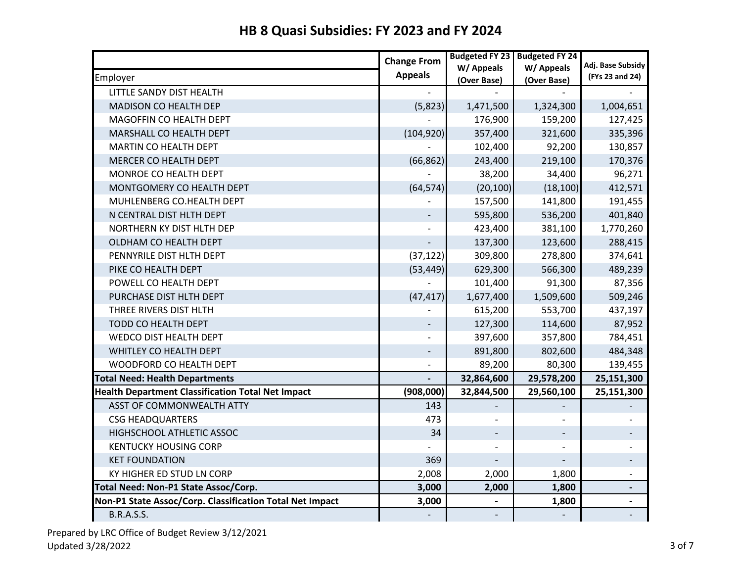|                                                          | <b>Change From</b>       | <b>Budgeted FY 23</b>     | <b>Budgeted FY 24</b>     | Adj. Base Subsidy        |
|----------------------------------------------------------|--------------------------|---------------------------|---------------------------|--------------------------|
| Employer                                                 | <b>Appeals</b>           | W/ Appeals<br>(Over Base) | W/ Appeals<br>(Over Base) | (FYs 23 and 24)          |
| LITTLE SANDY DIST HEALTH                                 |                          |                           |                           |                          |
| MADISON CO HEALTH DEP                                    | (5,823)                  | 1,471,500                 | 1,324,300                 | 1,004,651                |
| MAGOFFIN CO HEALTH DEPT                                  |                          | 176,900                   | 159,200                   | 127,425                  |
| MARSHALL CO HEALTH DEPT                                  | (104, 920)               | 357,400                   | 321,600                   | 335,396                  |
| MARTIN CO HEALTH DEPT                                    |                          | 102,400                   | 92,200                    | 130,857                  |
| <b>MERCER CO HEALTH DEPT</b>                             | (66, 862)                | 243,400                   | 219,100                   | 170,376                  |
| MONROE CO HEALTH DEPT                                    |                          | 38,200                    | 34,400                    | 96,271                   |
| MONTGOMERY CO HEALTH DEPT                                | (64, 574)                | (20, 100)                 | (18, 100)                 | 412,571                  |
| MUHLENBERG CO.HEALTH DEPT                                |                          | 157,500                   | 141,800                   | 191,455                  |
| N CENTRAL DIST HLTH DEPT                                 |                          | 595,800                   | 536,200                   | 401,840                  |
| NORTHERN KY DIST HLTH DEP                                |                          | 423,400                   | 381,100                   | 1,770,260                |
| OLDHAM CO HEALTH DEPT                                    |                          | 137,300                   | 123,600                   | 288,415                  |
| PENNYRILE DIST HLTH DEPT                                 | (37, 122)                | 309,800                   | 278,800                   | 374,641                  |
| PIKE CO HEALTH DEPT                                      | (53, 449)                | 629,300                   | 566,300                   | 489,239                  |
| POWELL CO HEALTH DEPT                                    |                          | 101,400                   | 91,300                    | 87,356                   |
| PURCHASE DIST HLTH DEPT                                  | (47, 417)                | 1,677,400                 | 1,509,600                 | 509,246                  |
| THREE RIVERS DIST HLTH                                   |                          | 615,200                   | 553,700                   | 437,197                  |
| TODD CO HEALTH DEPT                                      |                          | 127,300                   | 114,600                   | 87,952                   |
| WEDCO DIST HEALTH DEPT                                   |                          | 397,600                   | 357,800                   | 784,451                  |
| WHITLEY CO HEALTH DEPT                                   | $\overline{\phantom{a}}$ | 891,800                   | 802,600                   | 484,348                  |
| WOODFORD CO HEALTH DEPT                                  |                          | 89,200                    | 80,300                    | 139,455                  |
| <b>Total Need: Health Departments</b>                    |                          | 32,864,600                | 29,578,200                | 25,151,300               |
| <b>Health Department Classification Total Net Impact</b> | (908,000)                | 32,844,500                | 29,560,100                | 25,151,300               |
| ASST OF COMMONWEALTH ATTY                                | 143                      |                           |                           |                          |
| <b>CSG HEADQUARTERS</b>                                  | 473                      |                           |                           |                          |
| HIGHSCHOOL ATHLETIC ASSOC                                | 34                       | $\overline{\phantom{a}}$  |                           |                          |
| <b>KENTUCKY HOUSING CORP</b>                             |                          |                           |                           |                          |
| <b>KET FOUNDATION</b>                                    | 369                      |                           |                           | -                        |
| KY HIGHER ED STUD LN CORP                                | 2,008                    | 2,000                     | 1,800                     | $\overline{\phantom{0}}$ |
| Total Need: Non-P1 State Assoc/Corp.                     | 3,000                    | 2,000                     | 1,800                     | $\overline{\phantom{a}}$ |
| Non-P1 State Assoc/Corp. Classification Total Net Impact | 3,000                    |                           | 1,800                     |                          |
| <b>B.R.A.S.S.</b>                                        |                          |                           |                           |                          |

# **HB 8 Quasi Subsidies: FY 2023 and FY 2024**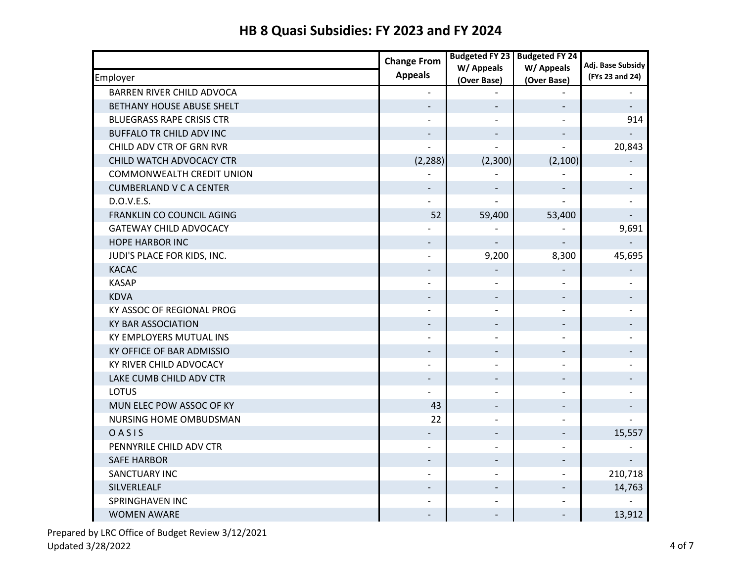|                                  | <b>Change From</b>       | <b>Budgeted FY 23</b>    | <b>Budgeted FY 24</b>    |                   |
|----------------------------------|--------------------------|--------------------------|--------------------------|-------------------|
|                                  | <b>Appeals</b>           | W/ Appeals               | W/ Appeals               | Adj. Base Subsidy |
| Employer                         |                          | (Over Base)              | (Over Base)              | (FYs 23 and 24)   |
| <b>BARREN RIVER CHILD ADVOCA</b> |                          |                          |                          |                   |
| BETHANY HOUSE ABUSE SHELT        |                          |                          |                          |                   |
| <b>BLUEGRASS RAPE CRISIS CTR</b> |                          |                          |                          | 914               |
| BUFFALO TR CHILD ADV INC         |                          |                          |                          |                   |
| CHILD ADV CTR OF GRN RVR         |                          |                          |                          | 20,843            |
| CHILD WATCH ADVOCACY CTR         | (2, 288)                 | (2,300)                  | (2, 100)                 |                   |
| <b>COMMONWEALTH CREDIT UNION</b> |                          |                          |                          |                   |
| <b>CUMBERLAND V C A CENTER</b>   |                          |                          |                          |                   |
| D.O.V.E.S.                       |                          |                          |                          |                   |
| FRANKLIN CO COUNCIL AGING        | 52                       | 59,400                   | 53,400                   |                   |
| <b>GATEWAY CHILD ADVOCACY</b>    |                          |                          |                          | 9,691             |
| <b>HOPE HARBOR INC</b>           | $\overline{\phantom{a}}$ |                          |                          |                   |
| JUDI'S PLACE FOR KIDS, INC.      |                          | 9,200                    | 8,300                    | 45,695            |
| <b>KACAC</b>                     |                          |                          |                          |                   |
| <b>KASAP</b>                     |                          |                          |                          |                   |
| <b>KDVA</b>                      |                          |                          |                          |                   |
| KY ASSOC OF REGIONAL PROG        |                          | $\overline{\phantom{0}}$ |                          |                   |
| <b>KY BAR ASSOCIATION</b>        |                          |                          |                          |                   |
| KY EMPLOYERS MUTUAL INS          |                          |                          |                          |                   |
| KY OFFICE OF BAR ADMISSIO        | $\overline{\phantom{a}}$ | $\overline{\phantom{a}}$ |                          |                   |
| KY RIVER CHILD ADVOCACY          |                          | $\overline{\phantom{0}}$ |                          |                   |
| LAKE CUMB CHILD ADV CTR          |                          |                          |                          |                   |
| <b>LOTUS</b>                     |                          | $\overline{\phantom{0}}$ | $\overline{\phantom{0}}$ |                   |
| MUN ELEC POW ASSOC OF KY         | 43                       | $\overline{\phantom{a}}$ | $\qquad \qquad -$        |                   |
| NURSING HOME OMBUDSMAN           | 22                       |                          |                          |                   |
| OASIS                            |                          | $\overline{\phantom{a}}$ |                          | 15,557            |
| PENNYRILE CHILD ADV CTR          |                          |                          |                          |                   |
| <b>SAFE HARBOR</b>               |                          |                          |                          |                   |
| SANCTUARY INC                    | $\overline{a}$           | $\overline{a}$           | $\overline{a}$           | 210,718           |
| SILVERLEALF                      | $\overline{\phantom{0}}$ | $\overline{\phantom{0}}$ | $\qquad \qquad -$        | 14,763            |
| <b>SPRINGHAVEN INC</b>           |                          |                          |                          |                   |
| <b>WOMEN AWARE</b>               |                          |                          |                          | 13,912            |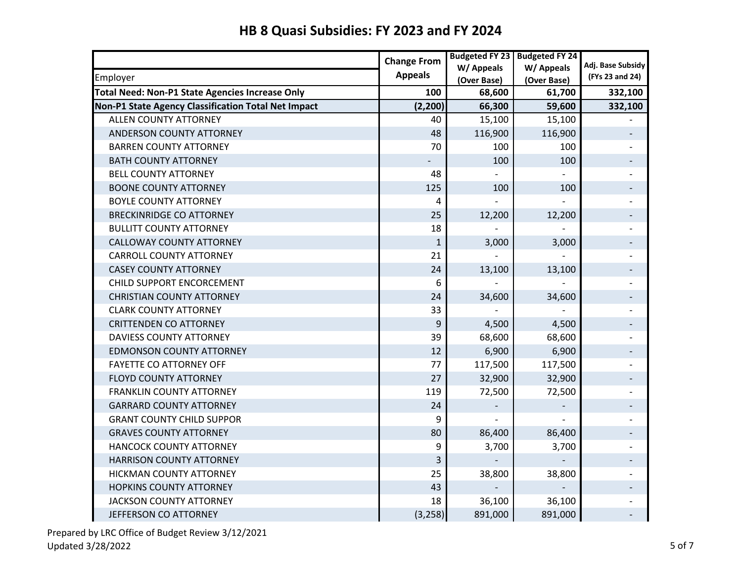### Employer **Adj. Base Subsidy (FYs 23 and 24) Change From Appeals Budgeted FY 23 W/ Appeals (Over Base) Budgeted FY 24 W/ Appeals (Over Base) Total Need: Non-P1 State Agencies Increase Only 100 68,600 68,600 61,700 532,100 Non-P1 State Agency Classification Total Net Impact**  $(2,200)$  **66,300 59,600 332,100** ALLEN COUNTY ATTORNEY **ALLEN COUNTY ATTORNEY 15,100** 15,100 ANDERSON COUNTY ATTORNEY A SUMPLIFY AND RESERVE THE RESERVE TO A 48 NOTE 116,900 116,900 NO. 116,900 NO. 116,900 NO. 116,900 NO. 116,900 NO. 116,900 NO. 116,900 NO. 116,900 NO. 116,900 NO. 116,900 NO. 116,900 NO. 116,900 N BARREN COUNTY ATTORNEY 70 100 100 - BATH COUNTY ATTORNEY A REPORT OF THE RESERVE THAT IS A REPORT OF THE RESERVE THAT A LOOP OF THE RESERVE THAT IS A LOOP OF THE RESERVE THAT IS A LOOP OF THE RESERVE THAT IS A LOOP OF THE RESERVE THAT IS A LOOP OF THE RESERV BELL COUNTY ATTORNEY A SECOND AND RESERVE THE RESERVE AND RESERVE THE RESERVE AND RESERVE THE RESERVE THAT A S BOONE COUNTY ATTORNEY 125 100 100 - BOYLE COUNTY ATTORNEY 4 - - - BRECKINRIDGE CO ATTORNEY **12,200** 12,200 12,200 12,200 12,200 12,200 12,200 12,200 12,200 12,200 12,200 12,200 1 BULLITT COUNTY ATTORNEY 18 - - - CALLOWAY COUNTY ATTORNEY **1** 4,000 3,000 3,000 CARROLL COUNTY ATTORNEY THE COUNTY ATTORNEY THE COUNTY OF THE COUNTY ATTORNEY CASEY COUNTY ATTORNEY **13.100** 13.100 13.100 13.100 13.100 13.100 13.100 13.100 13.100 13.100 13.100 13.100 13.100 13.100 13.100 13.100 13.100 13.100 13.100 13.100 13.100 13.100 13.100 13.100 13.100 13.100 13.100 13.100 13 CHILD SUPPORT ENCORCEMENT And the set of the set of the set of the set of the set of the set of the set of the set of the set of the set of the set of the set of the set of the set of the set of the set of the set of the s CHRISTIAN COUNTY ATTORNEY **120 CHALL 24 34,600** 34,600 34,600 **34,600** CLARK COUNTY ATTORNEY 33 - - - CRITTENDEN CO ATTORNEY A LOCAL CONSUMING THE RESERVE OF A LOCAL CONSUMING A LOCAL CONSUMING THE RESERVE OF A LO DAVIESS COUNTY ATTORNEY COUNTY AT TORNEY A COUNTY ATTORNEY COUNTY ATTORNEY COUNTY ATTORNEY EDMONSON COUNTY ATTORNEY **12** 6,900 6,900 6,900 6,900 6,900 6 FAYETTE CO ATTORNEY OFF **117,500** - T7 **117,500** 117,500 **117,500** -FLOYD COUNTY ATTORNEY 27 32,900 32,900 - FRANKLIN COUNTY ATTORNEY FRANKLIN COUNTY ATTORNEY FRANKLIN COUNTY ATTORNEY GARRARD COUNTY ATTORNEY A SALE AND RESIDENCE AND RELATIONS ON A SALE AND RELATIONS OF A SALE AND RELATIONS OF A GRANT COUNTY CHILD SUPPOR GRANT COUNTY CHILD SUPPOR GRAVES COUNTY ATTORNEY A CONSERVED A CONSERVED AS A CONSERVED BOTH AND SO  $\parallel$  and  $\parallel$  and  $\parallel$  and  $\parallel$  and  $\parallel$  and  $\parallel$  and  $\parallel$  and  $\parallel$  and  $\parallel$  and  $\parallel$  and  $\parallel$  and  $\parallel$  and  $\parallel$  and  $\parallel$  and  $\parallel$  and  $\parallel$  and  $\parallel$ HANCOCK COUNTY ATTORNEY THE SERIES OF THE SERIES OF STROOM AND THE STROUGH STROUGH AND STROUGH THE STROUGH STR HARRISON COUNTY ATTORNEY A SALE AND THE SERIES OF A SALE AND THE SALE AND THE SALE AND THE SALE AND THE SALE A HICKMAN COUNTY ATTORNEY **120 ASSESSED 25 38,800** 38,800 HOPKINS COUNTY ATTORNEY A SALE AND HOPKINS COUNTY ATTORNEY A SALE AND HOPKINS COUNTY ATTORNEY JACKSON COUNTY ATTORNEY **18** 36,100 36,100 36,100 -JEFFERSON CO ATTORNEY (3,258) 891,000 891,000 -

## **HB 8 Quasi Subsidies: FY 2023 and FY 2024**

Prepared by LRC Office of Budget Review 3/12/2021 Updated 3/28/2022 5 of 7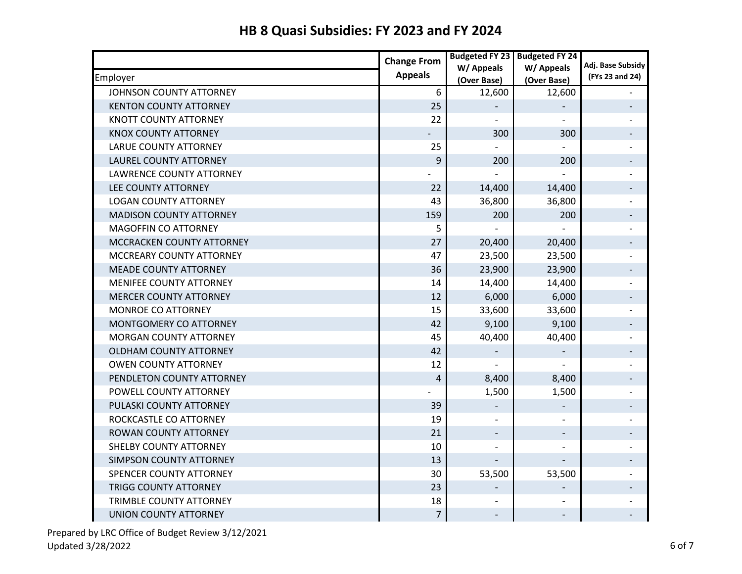|                                | <b>Change From</b> | <b>Budgeted FY 23</b> | <b>Budgeted FY 24</b> |                   |
|--------------------------------|--------------------|-----------------------|-----------------------|-------------------|
|                                | <b>Appeals</b>     | W/ Appeals            | W/ Appeals            | Adj. Base Subsidy |
| Employer                       |                    | (Over Base)           | (Over Base)           | (FYs 23 and 24)   |
| JOHNSON COUNTY ATTORNEY        | 6                  | 12,600                | 12,600                |                   |
| <b>KENTON COUNTY ATTORNEY</b>  | 25                 |                       |                       |                   |
| KNOTT COUNTY ATTORNEY          | 22                 |                       |                       |                   |
| KNOX COUNTY ATTORNEY           |                    | 300                   | 300                   |                   |
| <b>LARUE COUNTY ATTORNEY</b>   | 25                 |                       |                       |                   |
| <b>LAUREL COUNTY ATTORNEY</b>  | 9                  | 200                   | 200                   |                   |
| LAWRENCE COUNTY ATTORNEY       |                    |                       |                       |                   |
| <b>LEE COUNTY ATTORNEY</b>     | 22                 | 14,400                | 14,400                |                   |
| <b>LOGAN COUNTY ATTORNEY</b>   | 43                 | 36,800                | 36,800                |                   |
| <b>MADISON COUNTY ATTORNEY</b> | 159                | 200                   | 200                   |                   |
| MAGOFFIN CO ATTORNEY           | 5                  |                       |                       |                   |
| MCCRACKEN COUNTY ATTORNEY      | 27                 | 20,400                | 20,400                |                   |
| MCCREARY COUNTY ATTORNEY       | 47                 | 23,500                | 23,500                |                   |
| <b>MEADE COUNTY ATTORNEY</b>   | 36                 | 23,900                | 23,900                |                   |
| MENIFEE COUNTY ATTORNEY        | 14                 | 14,400                | 14,400                |                   |
| <b>MERCER COUNTY ATTORNEY</b>  | 12                 | 6,000                 | 6,000                 |                   |
| MONROE CO ATTORNEY             | 15                 | 33,600                | 33,600                |                   |
| MONTGOMERY CO ATTORNEY         | 42                 | 9,100                 | 9,100                 |                   |
| <b>MORGAN COUNTY ATTORNEY</b>  | 45                 | 40,400                | 40,400                |                   |
| <b>OLDHAM COUNTY ATTORNEY</b>  | 42                 |                       |                       |                   |
| <b>OWEN COUNTY ATTORNEY</b>    | 12                 |                       |                       |                   |
| PENDLETON COUNTY ATTORNEY      | 4                  | 8,400                 | 8,400                 |                   |
| POWELL COUNTY ATTORNEY         |                    | 1,500                 | 1,500                 |                   |
| PULASKI COUNTY ATTORNEY        | 39                 |                       |                       |                   |
| ROCKCASTLE CO ATTORNEY         | 19                 |                       |                       |                   |
| ROWAN COUNTY ATTORNEY          | 21                 | $\qquad \qquad -$     |                       |                   |
| SHELBY COUNTY ATTORNEY         | 10                 |                       |                       |                   |
| SIMPSON COUNTY ATTORNEY        | 13                 |                       |                       |                   |
| SPENCER COUNTY ATTORNEY        | 30                 | 53,500                | 53,500                |                   |
| <b>TRIGG COUNTY ATTORNEY</b>   | 23                 |                       |                       |                   |
| TRIMBLE COUNTY ATTORNEY        | 18                 |                       |                       |                   |
| <b>UNION COUNTY ATTORNEY</b>   | $\overline{7}$     |                       |                       |                   |

# **HB 8 Quasi Subsidies: FY 2023 and FY 2024**